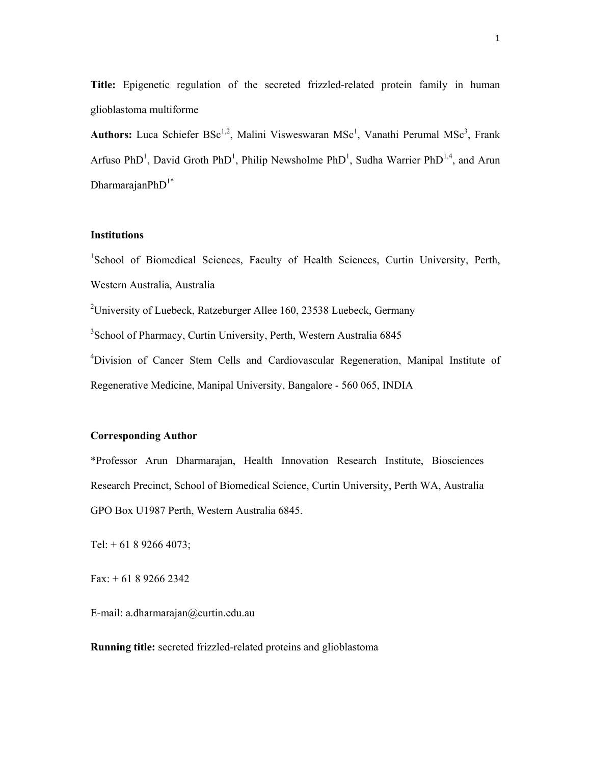**Title:** Epigenetic regulation of the secreted frizzled-related protein family in human glioblastoma multiforme

Authors: Luca Schiefer BSc<sup>1,2</sup>, Malini Visweswaran MSc<sup>1</sup>, Vanathi Perumal MSc<sup>3</sup>, Frank Arfuso PhD<sup>1</sup>, David Groth PhD<sup>1</sup>, Philip Newsholme PhD<sup>1</sup>, Sudha Warrier PhD<sup>1,4</sup>, and Arun Dharmarajan $PhD<sup>1*</sup>$ 

### **Institutions**

<sup>1</sup>School of Biomedical Sciences, Faculty of Health Sciences, Curtin University, Perth,

Western Australia, Australia

<sup>2</sup> University of Luebeck, Ratzeburger Allee 160, 23538 Luebeck, Germany

<sup>3</sup> School of Pharmacy, Curtin University, Perth, Western Australia 6845

<sup>4</sup>Division of Cancer Stem Cells and Cardiovascular Regeneration, Manipal Institute of Regenerative Medicine, Manipal University, Bangalore - 560 065, INDIA

### **Corresponding Author**

\*Professor Arun Dharmarajan, Health Innovation Research Institute, Biosciences Research Precinct, School of Biomedical Science, Curtin University, Perth WA, Australia GPO Box U1987 Perth, Western Australia 6845.

Tel: + 61 8 9266 4073;

Fax: + 61 8 9266 2342

E-mail: a.dharmarajan@curtin.edu.au

**Running title:** secreted frizzled-related proteins and glioblastoma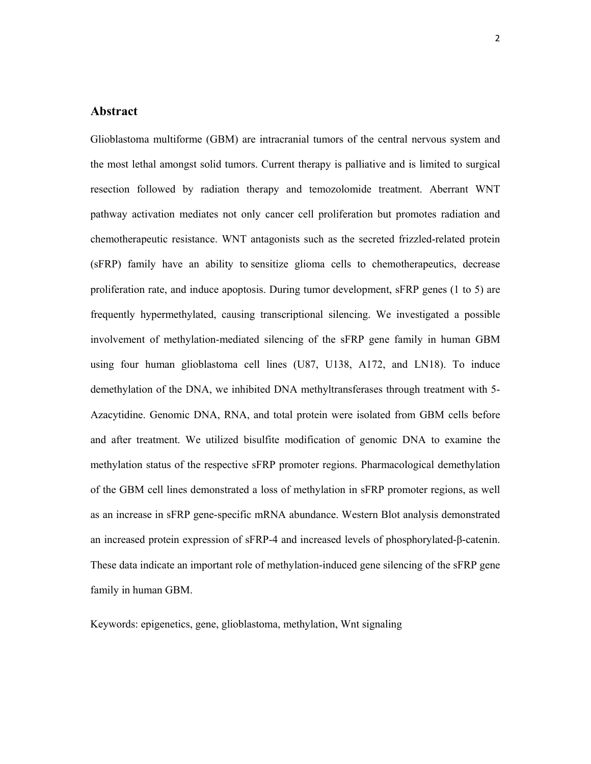# **Abstract**

Glioblastoma multiforme (GBM) are intracranial tumors of the central nervous system and the most lethal amongst solid tumors. Current therapy is palliative and is limited to surgical resection followed by radiation therapy and temozolomide treatment. Aberrant WNT pathway activation mediates not only cancer cell proliferation but promotes radiation and chemotherapeutic resistance. WNT antagonists such as the secreted frizzled-related protein (sFRP) family have an ability to sensitize glioma cells to chemotherapeutics, decrease proliferation rate, and induce apoptosis. During tumor development, sFRP genes (1 to 5) are frequently hypermethylated, causing transcriptional silencing. We investigated a possible involvement of methylation-mediated silencing of the sFRP gene family in human GBM using four human glioblastoma cell lines (U87, U138, A172, and LN18). To induce demethylation of the DNA, we inhibited DNA methyltransferases through treatment with 5- Azacytidine. Genomic DNA, RNA, and total protein were isolated from GBM cells before and after treatment. We utilized bisulfite modification of genomic DNA to examine the methylation status of the respective sFRP promoter regions. Pharmacological demethylation of the GBM cell lines demonstrated a loss of methylation in sFRP promoter regions, as well as an increase in sFRP gene-specific mRNA abundance. Western Blot analysis demonstrated an increased protein expression of sFRP-4 and increased levels of phosphorylated-β-catenin. These data indicate an important role of methylation-induced gene silencing of the sFRP gene family in human GBM.

Keywords: epigenetics, gene, glioblastoma, methylation, Wnt signaling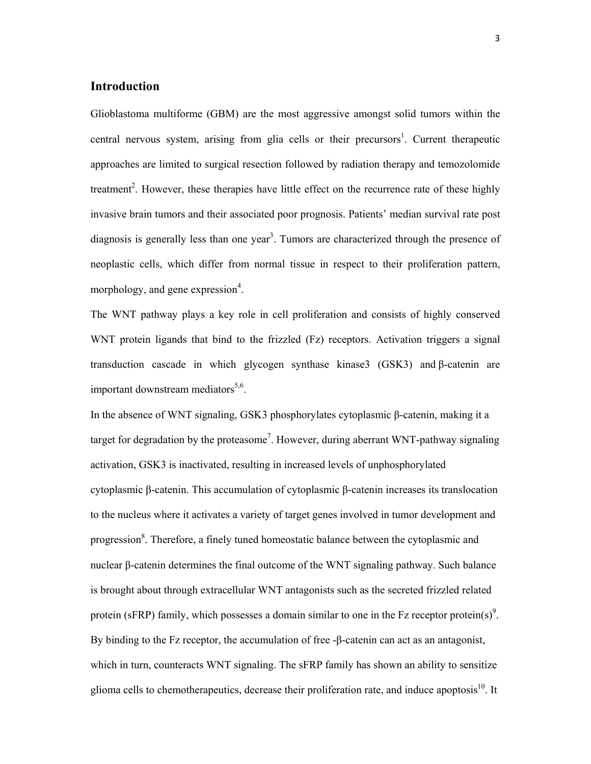# **Introduction**

Glioblastoma multiforme (GBM) are the most aggressive amongst solid tumors within the central nervous system, arising from glia cells or their precursors<sup>1</sup>. Current therapeutic approaches are limited to surgical resection followed by radiation therapy and temozolomide treatment<sup>2</sup>. However, these therapies have little effect on the recurrence rate of these highly invasive brain tumors and their associated poor prognosis. Patients' median survival rate post diagnosis is generally less than one year<sup>3</sup>. Tumors are characterized through the presence of neoplastic cells, which differ from normal tissue in respect to their proliferation pattern, morphology, and gene expression $4$ .

The WNT pathway plays a key role in cell proliferation and consists of highly conserved WNT protein ligands that bind to the frizzled (Fz) receptors. Activation triggers a signal transduction cascade in which glycogen synthase kinase3 (GSK3) and β-catenin are important downstream mediators $5.6$ .

In the absence of WNT signaling, GSK3 phosphorylates cytoplasmic β-catenin, making it a target for degradation by the proteasome<sup>7</sup>. However, during aberrant WNT-pathway signaling activation, GSK3 is inactivated, resulting in increased levels of unphosphorylated cytoplasmic β-catenin. This accumulation of cytoplasmic β-catenin increases its translocation to the nucleus where it activates a variety of target genes involved in tumor development and progression<sup>8</sup>. Therefore, a finely tuned homeostatic balance between the cytoplasmic and nuclear β-catenin determines the final outcome of the WNT signaling pathway. Such balance is brought about through extracellular WNT antagonists such as the secreted frizzled related protein (sFRP) family, which possesses a domain similar to one in the Fz receptor protein(s)<sup>9</sup>. By binding to the Fz receptor, the accumulation of free -β-catenin can act as an antagonist, which in turn, counteracts WNT signaling. The sFRP family has shown an ability to sensitize glioma cells to chemotherapeutics, decrease their proliferation rate, and induce apoptosis $^{10}$ . It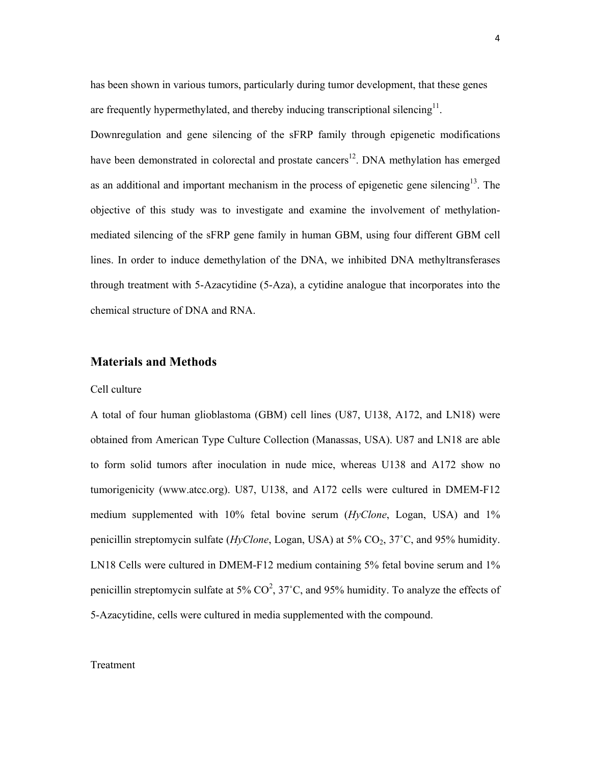has been shown in various tumors, particularly during tumor development, that these genes are frequently hypermethylated, and thereby inducing transcriptional silencing $11$ .

Downregulation and gene silencing of the sFRP family through epigenetic modifications have been demonstrated in colorectal and prostate cancers<sup>12</sup>. DNA methylation has emerged as an additional and important mechanism in the process of epigenetic gene silencing<sup>13</sup>. The objective of this study was to investigate and examine the involvement of methylationmediated silencing of the sFRP gene family in human GBM, using four different GBM cell lines. In order to induce demethylation of the DNA, we inhibited DNA methyltransferases through treatment with 5-Azacytidine (5-Aza), a cytidine analogue that incorporates into the chemical structure of DNA and RNA.

#### **Materials and Methods**

#### Cell culture

A total of four human glioblastoma (GBM) cell lines (U87, U138, A172, and LN18) were obtained from American Type Culture Collection (Manassas, USA). U87 and LN18 are able to form solid tumors after inoculation in nude mice, whereas U138 and A172 show no tumorigenicity (www.atcc.org). U87, U138, and A172 cells were cultured in DMEM-F12 medium supplemented with 10% fetal bovine serum (*HyClone*, Logan, USA) and 1% penicillin streptomycin sulfate (*HyClone*, Logan, USA) at 5% CO<sub>2</sub>, 37°C, and 95% humidity. LN18 Cells were cultured in DMEM-F12 medium containing 5% fetal bovine serum and 1% penicillin streptomycin sulfate at  $5\%$  CO<sup>2</sup>,  $37^{\circ}$ C, and 95% humidity. To analyze the effects of 5-Azacytidine, cells were cultured in media supplemented with the compound.

#### Treatment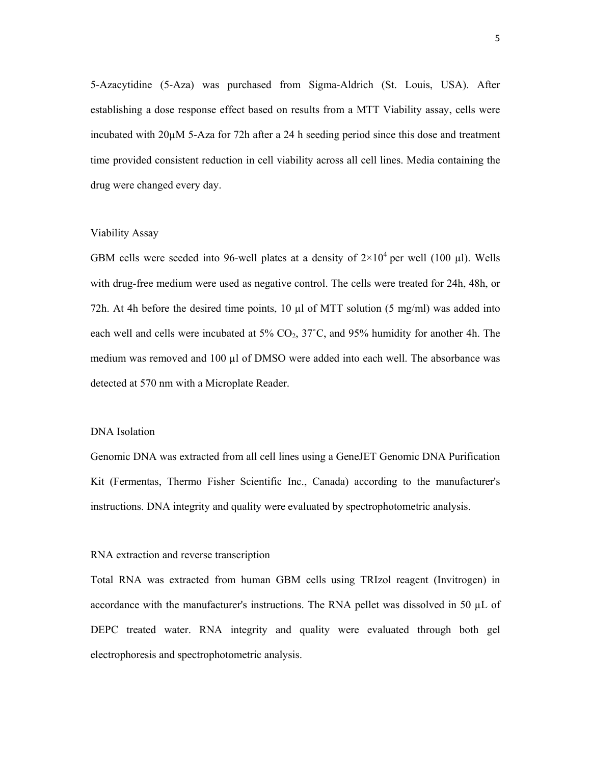5-Azacytidine (5-Aza) was purchased from Sigma-Aldrich (St. Louis, USA). After establishing a dose response effect based on results from a MTT Viability assay, cells were incubated with 20µM 5-Aza for 72h after a 24 h seeding period since this dose and treatment time provided consistent reduction in cell viability across all cell lines. Media containing the drug were changed every day.

### Viability Assay

GBM cells were seeded into 96-well plates at a density of  $2\times10^4$  per well (100 µl). Wells with drug-free medium were used as negative control. The cells were treated for 24h, 48h, or 72h. At 4h before the desired time points, 10  $\mu$ l of MTT solution (5 mg/ml) was added into each well and cells were incubated at  $5\%$  CO<sub>2</sub>,  $37^{\circ}$ C, and  $95\%$  humidity for another 4h. The medium was removed and 100 µl of DMSO were added into each well. The absorbance was detected at 570 nm with a Microplate Reader.

### DNA Isolation

Genomic DNA was extracted from all cell lines using a GeneJET Genomic DNA Purification Kit (Fermentas, Thermo Fisher Scientific Inc., Canada) according to the manufacturer's instructions. DNA integrity and quality were evaluated by spectrophotometric analysis.

#### RNA extraction and reverse transcription

Total RNA was extracted from human GBM cells using TRIzol reagent (Invitrogen) in accordance with the manufacturer's instructions. The RNA pellet was dissolved in 50 µL of DEPC treated water. RNA integrity and quality were evaluated through both gel electrophoresis and spectrophotometric analysis.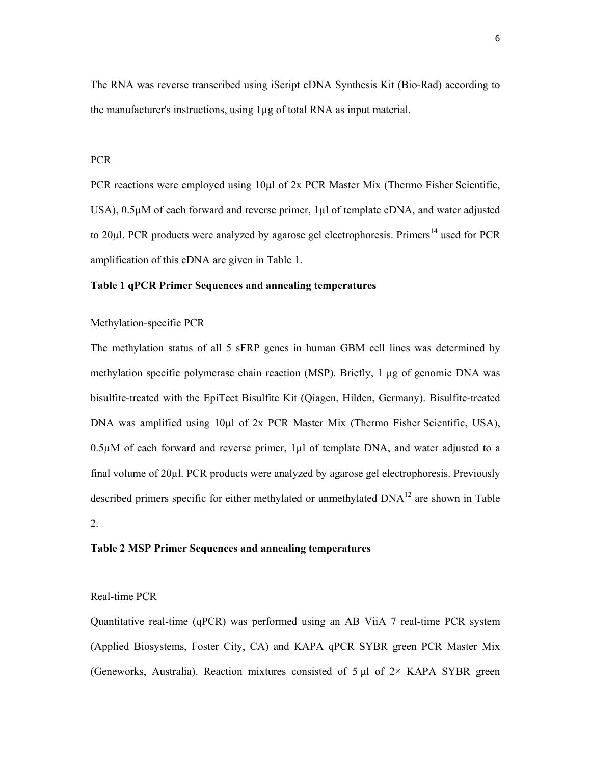The RNA was reverse transcribed using iScript cDNA Synthesis Kit (Bio-Rad) according to the manufacturer's instructions, using 1µg of total RNA as input material.

## PCR

PCR reactions were employed using 10µl of 2x PCR Master Mix (Thermo Fisher Scientific, USA),  $0.5\mu$ M of each forward and reverse primer, 1 $\mu$ l of template cDNA, and water adjusted to 20ul. PCR products were analyzed by agarose gel electrophoresis. Primers<sup>14</sup> used for PCR amplification of this cDNA are given in Table 1.

#### **Table 1 qPCR Primer Sequences and annealing temperatures**

#### Methylation-specific PCR

The methylation status of all 5 sFRP genes in human GBM cell lines was determined by methylation specific polymerase chain reaction (MSP). Briefly, 1 μg of genomic DNA was bisulfite-treated with the EpiTect Bisulfite Kit (Qiagen, Hilden, Germany). Bisulfite-treated DNA was amplified using 10µl of 2x PCR Master Mix (Thermo Fisher Scientific, USA), 0.5µM of each forward and reverse primer, 1µl of template DNA, and water adjusted to a final volume of 20µl. PCR products were analyzed by agarose gel electrophoresis. Previously described primers specific for either methylated or unmethylated  $DNA^{12}$  are shown in Table 2.

### **Table 2 MSP Primer Sequences and annealing temperatures**

### Real-time PCR

Quantitative real-time (qPCR) was performed using an AB ViiA 7 real-time PCR system (Applied Biosystems, Foster City, CA) and KAPA qPCR SYBR green PCR Master Mix (Geneworks, Australia). Reaction mixtures consisted of  $5 \mu$ l of  $2 \times$  KAPA SYBR green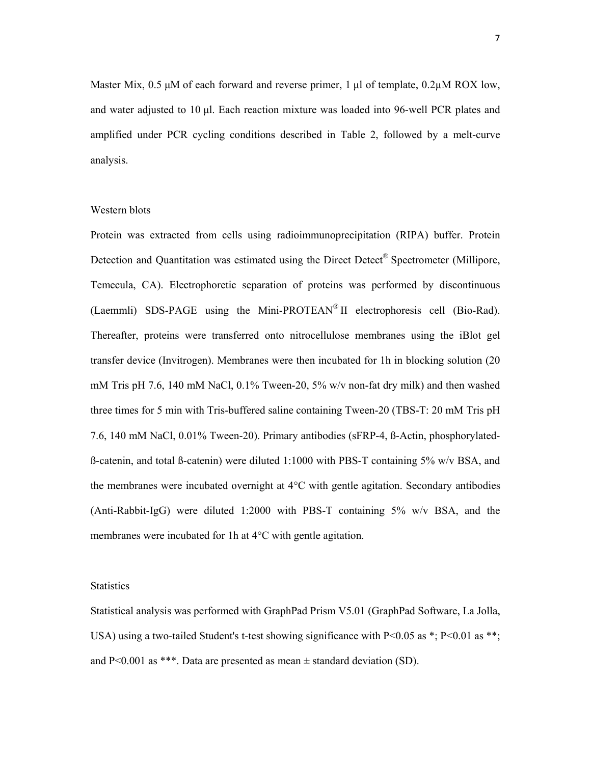Master Mix, 0.5 μM of each forward and reverse primer, 1 μl of template, 0.2µM ROX low, and water adjusted to 10 μl. Each reaction mixture was loaded into 96-well PCR plates and amplified under PCR cycling conditions described in Table 2, followed by a melt-curve analysis.

#### Western blots

Protein was extracted from cells using radioimmunoprecipitation (RIPA) buffer. Protein Detection and Quantitation was estimated using the Direct Detect<sup>®</sup> Spectrometer (Millipore, Temecula, CA). Electrophoretic separation of proteins was performed by discontinuous (Laemmli) SDS-PAGE using the Mini-PROTEAN® II electrophoresis cell (Bio-Rad). Thereafter, proteins were transferred onto nitrocellulose membranes using the iBlot gel transfer device (Invitrogen). Membranes were then incubated for 1h in blocking solution (20 mM Tris pH 7.6, 140 mM NaCl, 0.1% Tween-20, 5% w/v non-fat dry milk) and then washed three times for 5 min with Tris-buffered saline containing Tween-20 (TBS-T: 20 mM Tris pH 7.6, 140 mM NaCl, 0.01% Tween-20). Primary antibodies (sFRP-4, ß-Actin, phosphorylatedß-catenin, and total ß-catenin) were diluted 1:1000 with PBS-T containing 5% w/v BSA, and the membranes were incubated overnight at 4°C with gentle agitation. Secondary antibodies (Anti-Rabbit-IgG) were diluted 1:2000 with PBS-T containing 5% w/v BSA, and the membranes were incubated for 1h at 4°C with gentle agitation.

#### **Statistics**

Statistical analysis was performed with GraphPad Prism V5.01 (GraphPad Software, La Jolla, USA) using a two-tailed Student's t-test showing significance with  $P \le 0.05$  as \*; P $\le 0.01$  as \*\*; and P<0.001 as \*\*\*. Data are presented as mean  $\pm$  standard deviation (SD).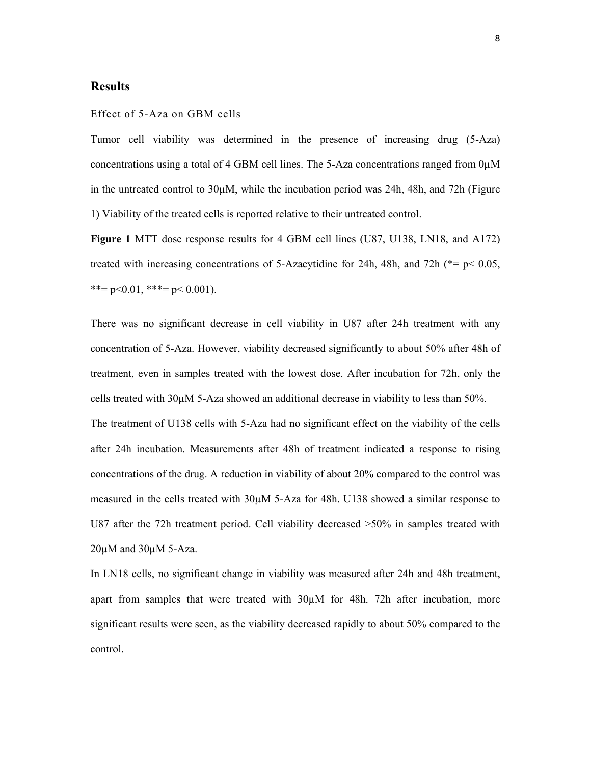## **Results**

#### Effect of 5-Aza on GBM cells

Tumor cell viability was determined in the presence of increasing drug (5-Aza) concentrations using a total of 4 GBM cell lines. The 5-Aza concentrations ranged from 0µM in the untreated control to  $30\mu$ M, while the incubation period was 24h, 48h, and 72h (Figure 1) Viability of the treated cells is reported relative to their untreated control.

**Figure 1** MTT dose response results for 4 GBM cell lines (U87, U138, LN18, and A172) treated with increasing concentrations of 5-Azacytidine for 24h, 48h, and 72h ( $* = p < 0.05$ ,  $***= p < 0.01$ ,  $***= p < 0.001$ ).

There was no significant decrease in cell viability in U87 after 24h treatment with any concentration of 5-Aza. However, viability decreased significantly to about 50% after 48h of treatment, even in samples treated with the lowest dose. After incubation for 72h, only the cells treated with 30µM 5-Aza showed an additional decrease in viability to less than 50%.

The treatment of U138 cells with 5-Aza had no significant effect on the viability of the cells after 24h incubation. Measurements after 48h of treatment indicated a response to rising concentrations of the drug. A reduction in viability of about 20% compared to the control was measured in the cells treated with  $30\mu$ M 5-Aza for 48h. U138 showed a similar response to U87 after the 72h treatment period. Cell viability decreased >50% in samples treated with  $20\mu$ M and  $30\mu$ M 5-Aza.

In LN18 cells, no significant change in viability was measured after 24h and 48h treatment, apart from samples that were treated with 30µM for 48h. 72h after incubation, more significant results were seen, as the viability decreased rapidly to about 50% compared to the control.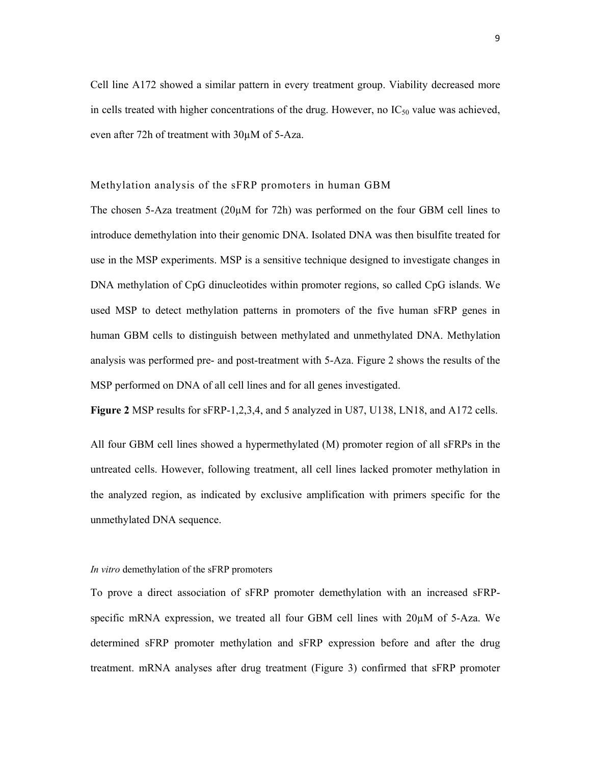Cell line A172 showed a similar pattern in every treatment group. Viability decreased more in cells treated with higher concentrations of the drug. However, no  $IC_{50}$  value was achieved, even after 72h of treatment with 30µM of 5-Aza.

Methylation analysis of the sFRP promoters in human GBM

The chosen 5-Aza treatment (20 $\mu$ M for 72h) was performed on the four GBM cell lines to introduce demethylation into their genomic DNA. Isolated DNA was then bisulfite treated for use in the MSP experiments. MSP is a sensitive technique designed to investigate changes in DNA methylation of CpG dinucleotides within promoter regions, so called CpG islands. We used MSP to detect methylation patterns in promoters of the five human sFRP genes in human GBM cells to distinguish between methylated and unmethylated DNA. Methylation analysis was performed pre- and post-treatment with 5-Aza. Figure 2 shows the results of the MSP performed on DNA of all cell lines and for all genes investigated.

**Figure 2** MSP results for sFRP-1,2,3,4, and 5 analyzed in U87, U138, LN18, and A172 cells.

All four GBM cell lines showed a hypermethylated (M) promoter region of all sFRPs in the untreated cells. However, following treatment, all cell lines lacked promoter methylation in the analyzed region, as indicated by exclusive amplification with primers specific for the unmethylated DNA sequence.

## *In vitro* demethylation of the sFRP promoters

To prove a direct association of sFRP promoter demethylation with an increased sFRPspecific mRNA expression, we treated all four GBM cell lines with 20µM of 5-Aza. We determined sFRP promoter methylation and sFRP expression before and after the drug treatment. mRNA analyses after drug treatment (Figure 3) confirmed that sFRP promoter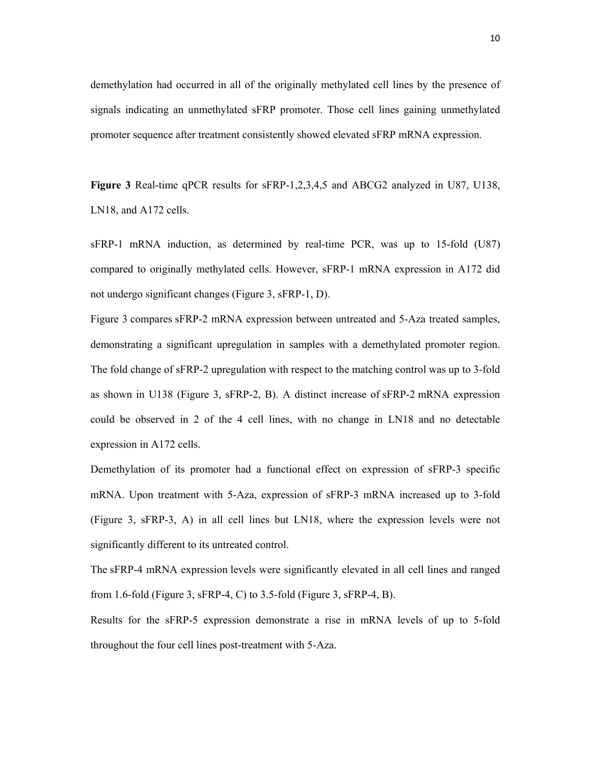demethylation had occurred in all of the originally methylated cell lines by the presence of signals indicating an unmethylated sFRP promoter. Those cell lines gaining unmethylated promoter sequence after treatment consistently showed elevated sFRP mRNA expression.

**Figure 3** Real-time qPCR results for sFRP-1,2,3,4,5 and ABCG2 analyzed in U87, U138, LN18, and A172 cells.

sFRP-1 mRNA induction, as determined by real-time PCR, was up to 15-fold (U87) compared to originally methylated cells. However, sFRP-1 mRNA expression in A172 did not undergo significant changes (Figure 3, sFRP-1, D).

Figure 3 compares sFRP-2 mRNA expression between untreated and 5-Aza treated samples, demonstrating a significant upregulation in samples with a demethylated promoter region. The fold change of sFRP-2 upregulation with respect to the matching control was up to 3-fold as shown in U138 (Figure 3, sFRP-2, B). A distinct increase of sFRP-2 mRNA expression could be observed in 2 of the 4 cell lines, with no change in LN18 and no detectable expression in A172 cells.

Demethylation of its promoter had a functional effect on expression of sFRP-3 specific mRNA. Upon treatment with 5-Aza, expression of sFRP-3 mRNA increased up to 3-fold (Figure 3, sFRP-3, A) in all cell lines but LN18, where the expression levels were not significantly different to its untreated control.

The sFRP-4 mRNA expression levels were significantly elevated in all cell lines and ranged from 1.6-fold (Figure 3, sFRP-4, C) to 3.5-fold (Figure 3, sFRP-4, B).

Results for the sFRP-5 expression demonstrate a rise in mRNA levels of up to 5-fold throughout the four cell lines post-treatment with 5-Aza.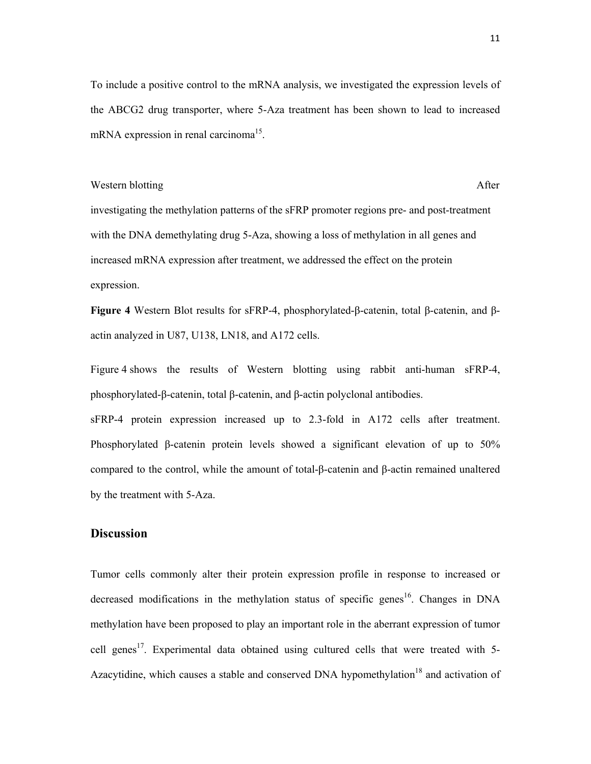To include a positive control to the mRNA analysis, we investigated the expression levels of the ABCG2 drug transporter, where 5-Aza treatment has been shown to lead to increased mRNA expression in renal carcinoma<sup>15</sup>.

### Western blotting After

investigating the methylation patterns of the sFRP promoter regions pre- and post-treatment with the DNA demethylating drug 5-Aza, showing a loss of methylation in all genes and increased mRNA expression after treatment, we addressed the effect on the protein expression.

**Figure 4** Western Blot results for sFRP-4, phosphorylated-β-catenin, total β-catenin, and βactin analyzed in U87, U138, LN18, and A172 cells.

Figure 4 shows the results of Western blotting using rabbit anti-human sFRP-4, phosphorylated-β-catenin, total β-catenin, and β-actin polyclonal antibodies.

sFRP-4 protein expression increased up to 2.3-fold in A172 cells after treatment. Phosphorylated β-catenin protein levels showed a significant elevation of up to  $50\%$ compared to the control, while the amount of total-β-catenin and β-actin remained unaltered by the treatment with 5-Aza.

## **Discussion**

Tumor cells commonly alter their protein expression profile in response to increased or decreased modifications in the methylation status of specific genes<sup>16</sup>. Changes in DNA methylation have been proposed to play an important role in the aberrant expression of tumor cell genes<sup>17</sup>. Experimental data obtained using cultured cells that were treated with 5-Azacytidine, which causes a stable and conserved DNA hypomethylation<sup>18</sup> and activation of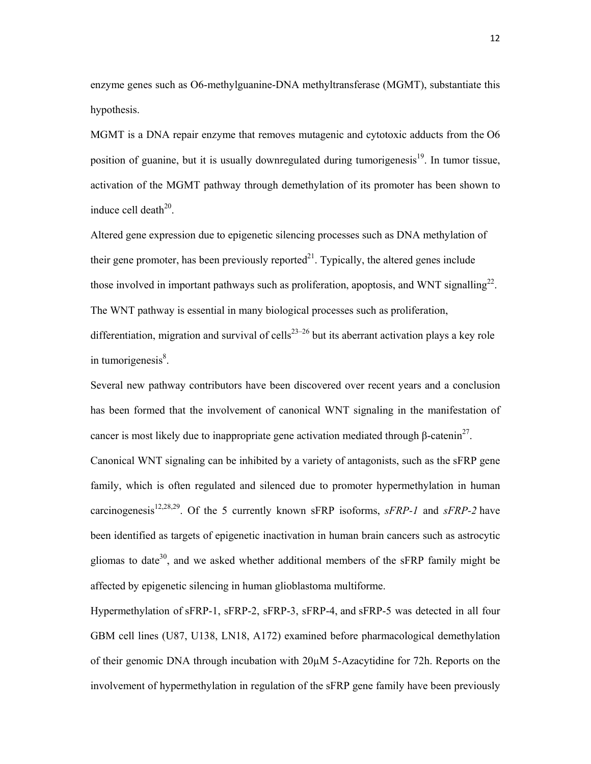enzyme genes such as O6-methylguanine-DNA methyltransferase (MGMT), substantiate this hypothesis.

MGMT is a DNA repair enzyme that removes mutagenic and cytotoxic adducts from the O6 position of guanine, but it is usually downregulated during tumorigenesis $^{19}$ . In tumor tissue, activation of the MGMT pathway through demethylation of its promoter has been shown to induce cell death $^{20}$ .

Altered gene expression due to epigenetic silencing processes such as DNA methylation of their gene promoter, has been previously reported<sup>21</sup>. Typically, the altered genes include those involved in important pathways such as proliferation, apoptosis, and WNT signalling<sup>22</sup>. The WNT pathway is essential in many biological processes such as proliferation, differentiation, migration and survival of cells<sup>23–26</sup> but its aberrant activation plays a key role in tumorigenesis $8$ .

Several new pathway contributors have been discovered over recent years and a conclusion has been formed that the involvement of canonical WNT signaling in the manifestation of cancer is most likely due to inappropriate gene activation mediated through  $\beta$ -catenin<sup>27</sup>. Canonical WNT signaling can be inhibited by a variety of antagonists, such as the sFRP gene family, which is often regulated and silenced due to promoter hypermethylation in human carcinogenesis<sup>12,28,29</sup>. Of the 5 currently known sFRP isoforms,  $sFRP$ -1 and  $sFRP$ -2 have been identified as targets of epigenetic inactivation in human brain cancers such as astrocytic gliomas to date<sup>30</sup>, and we asked whether additional members of the sFRP family might be affected by epigenetic silencing in human glioblastoma multiforme.

Hypermethylation of sFRP-1, sFRP-2, sFRP-3, sFRP-4, and sFRP-5 was detected in all four GBM cell lines (U87, U138, LN18, A172) examined before pharmacological demethylation of their genomic DNA through incubation with 20µM 5-Azacytidine for 72h. Reports on the involvement of hypermethylation in regulation of the sFRP gene family have been previously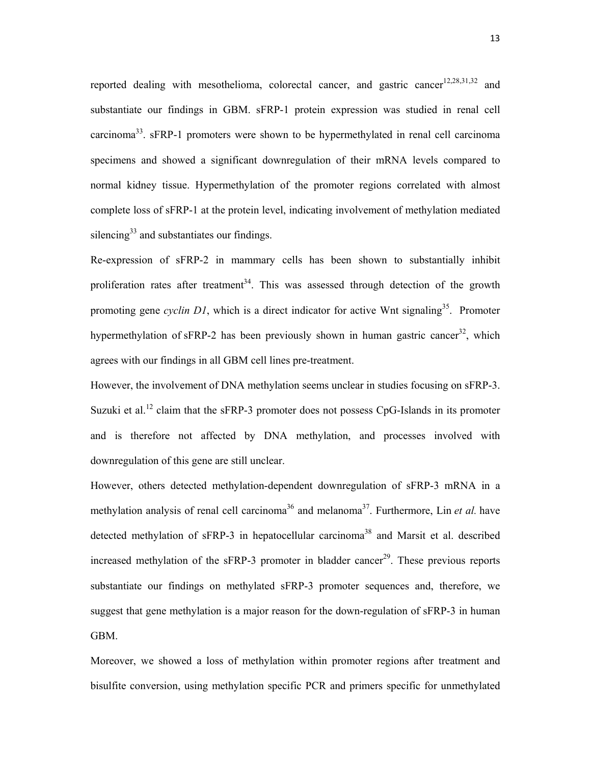reported dealing with mesothelioma, colorectal cancer, and gastric cancer<sup>12,28,31,32</sup> and substantiate our findings in GBM. sFRP-1 protein expression was studied in renal cell carcinoma<sup>33</sup>. sFRP-1 promoters were shown to be hypermethylated in renal cell carcinoma specimens and showed a significant downregulation of their mRNA levels compared to normal kidney tissue. Hypermethylation of the promoter regions correlated with almost complete loss of sFRP-1 at the protein level, indicating involvement of methylation mediated silencing<sup>33</sup> and substantiates our findings.

Re-expression of sFRP-2 in mammary cells has been shown to substantially inhibit proliferation rates after treatment<sup>34</sup>. This was assessed through detection of the growth promoting gene *cyclin D1*, which is a direct indicator for active Wnt signaling<sup>35</sup>. Promoter hypermethylation of sFRP-2 has been previously shown in human gastric cancer<sup>32</sup>, which agrees with our findings in all GBM cell lines pre-treatment.

However, the involvement of DNA methylation seems unclear in studies focusing on sFRP-3. Suzuki et al.<sup>12</sup> claim that the sFRP-3 promoter does not possess CpG-Islands in its promoter and is therefore not affected by DNA methylation, and processes involved with downregulation of this gene are still unclear.

However, others detected methylation-dependent downregulation of sFRP-3 mRNA in a methylation analysis of renal cell carcinoma<sup>36</sup> and melanoma<sup>37</sup>. Furthermore, Lin *et al.* have detected methylation of sFRP-3 in hepatocellular carcinoma<sup>38</sup> and Marsit et al. described increased methylation of the  $sFRP-3$  promoter in bladder cancer<sup>29</sup>. These previous reports substantiate our findings on methylated sFRP-3 promoter sequences and, therefore, we suggest that gene methylation is a major reason for the down-regulation of sFRP-3 in human GBM.

Moreover, we showed a loss of methylation within promoter regions after treatment and bisulfite conversion, using methylation specific PCR and primers specific for unmethylated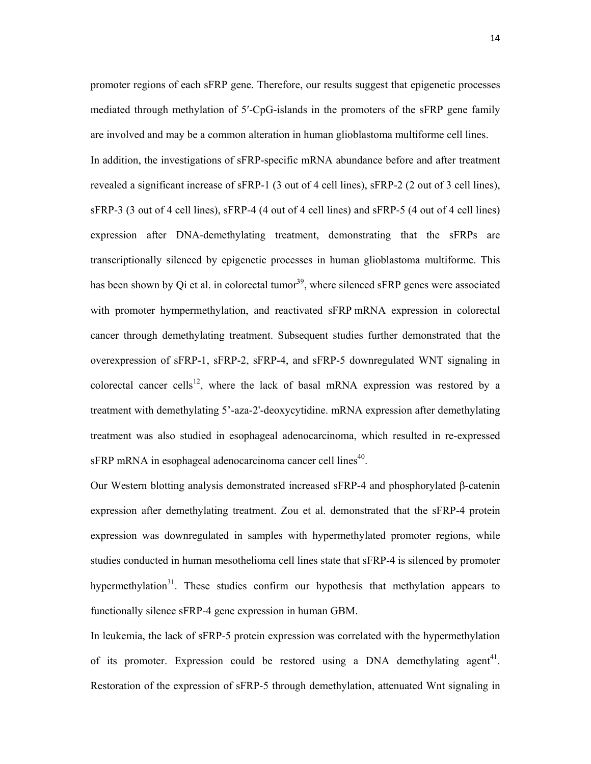promoter regions of each sFRP gene. Therefore, our results suggest that epigenetic processes mediated through methylation of 5′-CpG-islands in the promoters of the sFRP gene family are involved and may be a common alteration in human glioblastoma multiforme cell lines. In addition, the investigations of sFRP-specific mRNA abundance before and after treatment revealed a significant increase of sFRP-1 (3 out of 4 cell lines), sFRP-2 (2 out of 3 cell lines), sFRP-3 (3 out of 4 cell lines), sFRP-4 (4 out of 4 cell lines) and sFRP-5 (4 out of 4 cell lines) expression after DNA-demethylating treatment, demonstrating that the sFRPs are transcriptionally silenced by epigenetic processes in human glioblastoma multiforme. This has been shown by Qi et al. in colorectal tumor<sup>39</sup>, where silenced sFRP genes were associated with promoter hympermethylation, and reactivated sFRP mRNA expression in colorectal cancer through demethylating treatment. Subsequent studies further demonstrated that the overexpression of sFRP-1, sFRP-2, sFRP-4, and sFRP-5 downregulated WNT signaling in colorectal cancer cells<sup>12</sup>, where the lack of basal mRNA expression was restored by a treatment with demethylating 5'-aza-2'-deoxycytidine. mRNA expression after demethylating treatment was also studied in esophageal adenocarcinoma, which resulted in re-expressed  $sFRP$  mRNA in esophageal adenocarcinoma cancer cell lines<sup>40</sup>.

Our Western blotting analysis demonstrated increased sFRP-4 and phosphorylated β-catenin expression after demethylating treatment. Zou et al. demonstrated that the sFRP-4 protein expression was downregulated in samples with hypermethylated promoter regions, while studies conducted in human mesothelioma cell lines state that sFRP-4 is silenced by promoter hypermethylation<sup>31</sup>. These studies confirm our hypothesis that methylation appears to functionally silence sFRP-4 gene expression in human GBM.

In leukemia, the lack of sFRP-5 protein expression was correlated with the hypermethylation of its promoter. Expression could be restored using a DNA demethylating agent<sup>41</sup>. Restoration of the expression of sFRP-5 through demethylation, attenuated Wnt signaling in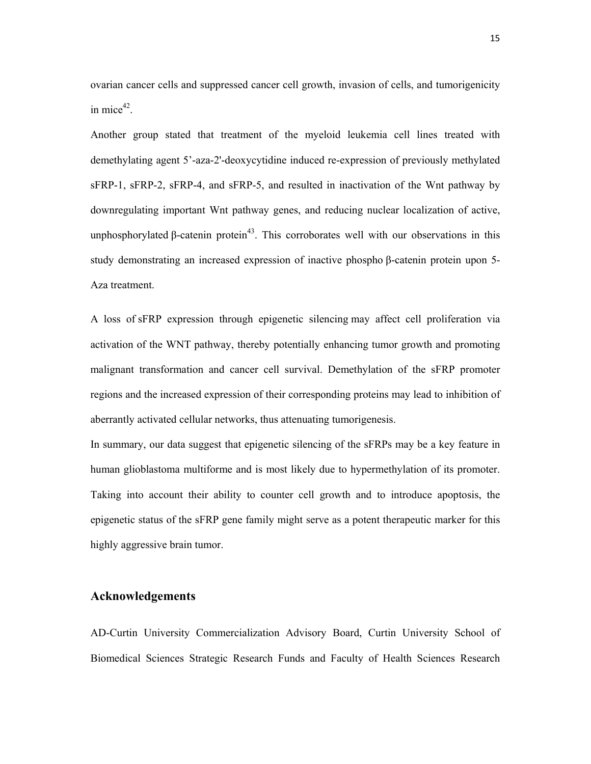ovarian cancer cells and suppressed cancer cell growth, invasion of cells, and tumorigenicity in mice $42$ .

Another group stated that treatment of the myeloid leukemia cell lines treated with demethylating agent 5'-aza-2'-deoxycytidine induced re-expression of previously methylated sFRP-1, sFRP-2, sFRP-4, and sFRP-5, and resulted in inactivation of the Wnt pathway by downregulating important Wnt pathway genes, and reducing nuclear localization of active, unphosphorylated β-catenin protein<sup>43</sup>. This corroborates well with our observations in this study demonstrating an increased expression of inactive phospho β-catenin protein upon 5- Aza treatment.

A loss of sFRP expression through epigenetic silencing may affect cell proliferation via activation of the WNT pathway, thereby potentially enhancing tumor growth and promoting malignant transformation and cancer cell survival. Demethylation of the sFRP promoter regions and the increased expression of their corresponding proteins may lead to inhibition of aberrantly activated cellular networks, thus attenuating tumorigenesis.

In summary, our data suggest that epigenetic silencing of the sFRPs may be a key feature in human glioblastoma multiforme and is most likely due to hypermethylation of its promoter. Taking into account their ability to counter cell growth and to introduce apoptosis, the epigenetic status of the sFRP gene family might serve as a potent therapeutic marker for this highly aggressive brain tumor.

## **Acknowledgements**

AD-Curtin University Commercialization Advisory Board, Curtin University School of Biomedical Sciences Strategic Research Funds and Faculty of Health Sciences Research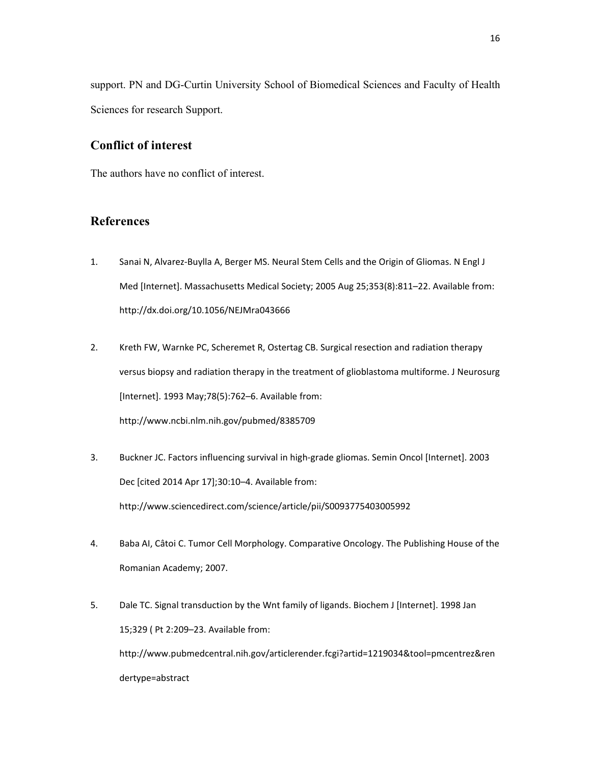support. PN and DG-Curtin University School of Biomedical Sciences and Faculty of Health Sciences for research Support.

# **Conflict of interest**

The authors have no conflict of interest.

## **References**

- 1. Sanai N, Alvarez-Buylla A, Berger MS. Neural Stem Cells and the Origin of Gliomas. N Engl J Med [Internet]. Massachusetts Medical Society; 2005 Aug 25;353(8):811–22. Available from: http://dx.doi.org/10.1056/NEJMra043666
- 2. Kreth FW, Warnke PC, Scheremet R, Ostertag CB. Surgical resection and radiation therapy versus biopsy and radiation therapy in the treatment of glioblastoma multiforme. J Neurosurg [Internet]. 1993 May;78(5):762–6. Available from: http://www.ncbi.nlm.nih.gov/pubmed/8385709
- 3. Buckner JC. Factors influencing survival in high-grade gliomas. Semin Oncol [Internet]. 2003 Dec [cited 2014 Apr 17];30:10–4. Available from: http://www.sciencedirect.com/science/article/pii/S0093775403005992
- 4. Baba AI, Câtoi C. Tumor Cell Morphology. Comparative Oncology. The Publishing House of the Romanian Academy; 2007.
- 5. Dale TC. Signal transduction by the Wnt family of ligands. Biochem J [Internet]. 1998 Jan 15;329 ( Pt 2:209–23. Available from: http://www.pubmedcentral.nih.gov/articlerender.fcgi?artid=1219034&tool=pmcentrez&ren dertype=abstract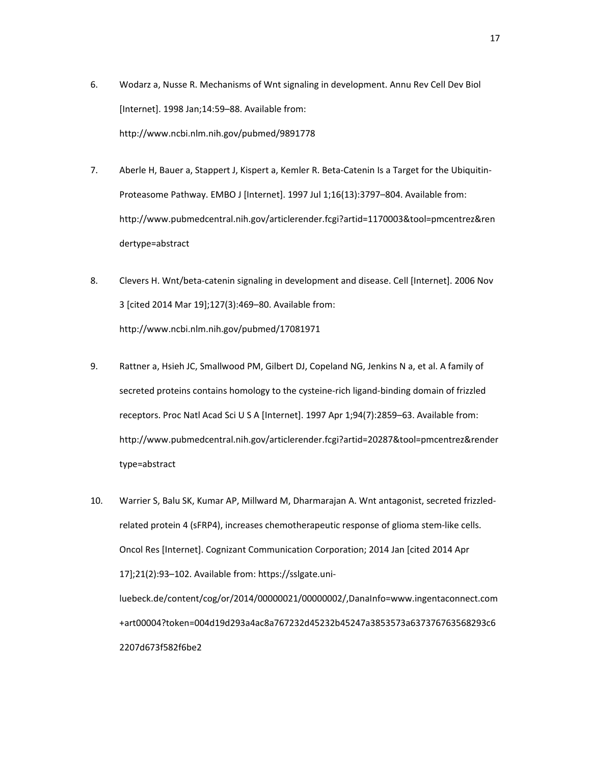- 6. Wodarz a, Nusse R. Mechanisms of Wnt signaling in development. Annu Rev Cell Dev Biol [Internet]. 1998 Jan;14:59–88. Available from: http://www.ncbi.nlm.nih.gov/pubmed/9891778
- 7. Aberle H, Bauer a, Stappert J, Kispert a, Kemler R. Beta-Catenin Is a Target for the Ubiquitin-Proteasome Pathway. EMBO J [Internet]. 1997 Jul 1;16(13):3797–804. Available from: http://www.pubmedcentral.nih.gov/articlerender.fcgi?artid=1170003&tool=pmcentrez&ren dertype=abstract
- 8. Clevers H. Wnt/beta-catenin signaling in development and disease. Cell [Internet]. 2006 Nov 3 [cited 2014 Mar 19];127(3):469–80. Available from: http://www.ncbi.nlm.nih.gov/pubmed/17081971
- 9. Rattner a, Hsieh JC, Smallwood PM, Gilbert DJ, Copeland NG, Jenkins N a, et al. A family of secreted proteins contains homology to the cysteine-rich ligand-binding domain of frizzled receptors. Proc Natl Acad Sci U S A [Internet]. 1997 Apr 1;94(7):2859–63. Available from: http://www.pubmedcentral.nih.gov/articlerender.fcgi?artid=20287&tool=pmcentrez&render type=abstract
- 10. Warrier S, Balu SK, Kumar AP, Millward M, Dharmarajan A. Wnt antagonist, secreted frizzledrelated protein 4 (sFRP4), increases chemotherapeutic response of glioma stem-like cells. Oncol Res [Internet]. Cognizant Communication Corporation; 2014 Jan [cited 2014 Apr 17];21(2):93–102. Available from: https://sslgate.uniluebeck.de/content/cog/or/2014/00000021/00000002/,DanaInfo=www.ingentaconnect.com +art00004?token=004d19d293a4ac8a767232d45232b45247a3853573a637376763568293c6 2207d673f582f6be2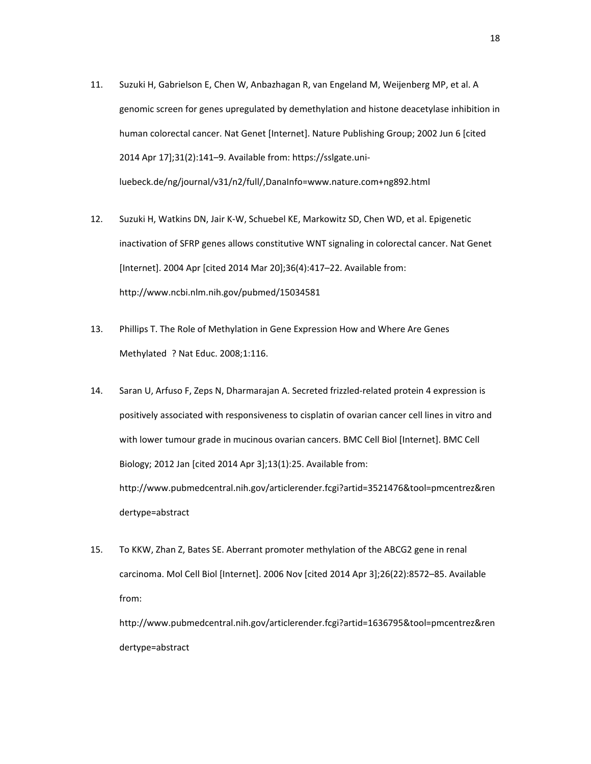- 11. Suzuki H, Gabrielson E, Chen W, Anbazhagan R, van Engeland M, Weijenberg MP, et al. A genomic screen for genes upregulated by demethylation and histone deacetylase inhibition in human colorectal cancer. Nat Genet [Internet]. Nature Publishing Group; 2002 Jun 6 [cited 2014 Apr 17];31(2):141–9. Available from: https://sslgate.uniluebeck.de/ng/journal/v31/n2/full/,DanaInfo=www.nature.com+ng892.html
- 12. Suzuki H, Watkins DN, Jair K-W, Schuebel KE, Markowitz SD, Chen WD, et al. Epigenetic inactivation of SFRP genes allows constitutive WNT signaling in colorectal cancer. Nat Genet [Internet]. 2004 Apr [cited 2014 Mar 20];36(4):417–22. Available from: http://www.ncbi.nlm.nih.gov/pubmed/15034581
- 13. Phillips T. The Role of Methylation in Gene Expression How and Where Are Genes Methylated ? Nat Educ. 2008;1:116.
- 14. Saran U, Arfuso F, Zeps N, Dharmarajan A. Secreted frizzled-related protein 4 expression is positively associated with responsiveness to cisplatin of ovarian cancer cell lines in vitro and with lower tumour grade in mucinous ovarian cancers. BMC Cell Biol [Internet]. BMC Cell Biology; 2012 Jan [cited 2014 Apr 3];13(1):25. Available from: http://www.pubmedcentral.nih.gov/articlerender.fcgi?artid=3521476&tool=pmcentrez&ren dertype=abstract
- 15. To KKW, Zhan Z, Bates SE. Aberrant promoter methylation of the ABCG2 gene in renal carcinoma. Mol Cell Biol [Internet]. 2006 Nov [cited 2014 Apr 3];26(22):8572–85. Available from:

http://www.pubmedcentral.nih.gov/articlerender.fcgi?artid=1636795&tool=pmcentrez&ren dertype=abstract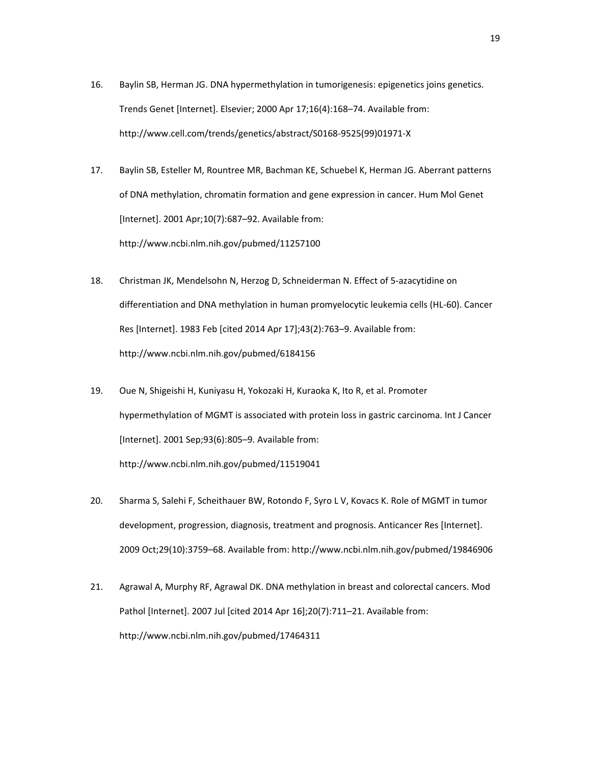- 16. Baylin SB, Herman JG. DNA hypermethylation in tumorigenesis: epigenetics joins genetics. Trends Genet [Internet]. Elsevier; 2000 Apr 17;16(4):168–74. Available from: http://www.cell.com/trends/genetics/abstract/S0168-9525(99)01971-X
- 17. Baylin SB, Esteller M, Rountree MR, Bachman KE, Schuebel K, Herman JG. Aberrant patterns of DNA methylation, chromatin formation and gene expression in cancer. Hum Mol Genet [Internet]. 2001 Apr;10(7):687–92. Available from: http://www.ncbi.nlm.nih.gov/pubmed/11257100
- 18. Christman JK, Mendelsohn N, Herzog D, Schneiderman N. Effect of 5-azacytidine on differentiation and DNA methylation in human promyelocytic leukemia cells (HL-60). Cancer Res [Internet]. 1983 Feb [cited 2014 Apr 17];43(2):763–9. Available from: http://www.ncbi.nlm.nih.gov/pubmed/6184156
- 19. Oue N, Shigeishi H, Kuniyasu H, Yokozaki H, Kuraoka K, Ito R, et al. Promoter hypermethylation of MGMT is associated with protein loss in gastric carcinoma. Int J Cancer [Internet]. 2001 Sep;93(6):805–9. Available from: http://www.ncbi.nlm.nih.gov/pubmed/11519041
- 20. Sharma S, Salehi F, Scheithauer BW, Rotondo F, Syro L V, Kovacs K. Role of MGMT in tumor development, progression, diagnosis, treatment and prognosis. Anticancer Res [Internet]. 2009 Oct;29(10):3759–68. Available from: http://www.ncbi.nlm.nih.gov/pubmed/19846906
- 21. Agrawal A, Murphy RF, Agrawal DK. DNA methylation in breast and colorectal cancers. Mod Pathol [Internet]. 2007 Jul [cited 2014 Apr 16];20(7):711–21. Available from: http://www.ncbi.nlm.nih.gov/pubmed/17464311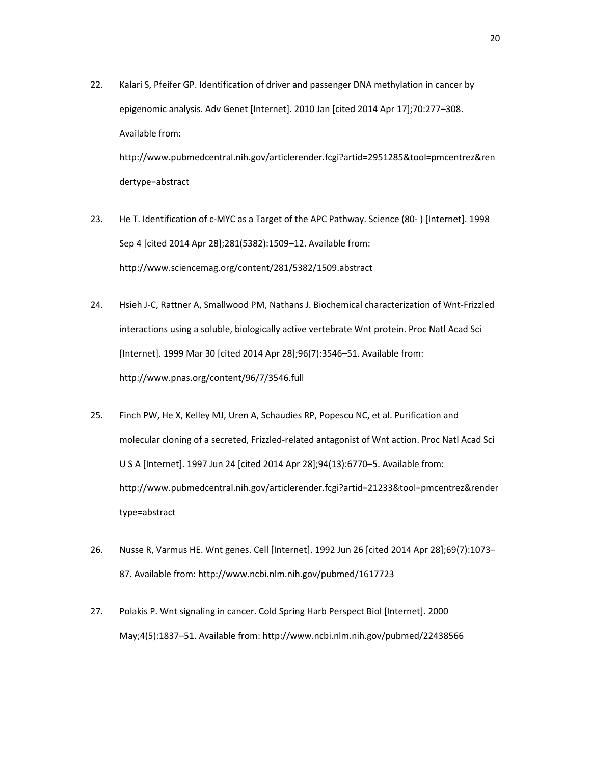- 22. Kalari S, Pfeifer GP. Identification of driver and passenger DNA methylation in cancer by epigenomic analysis. Adv Genet [Internet]. 2010 Jan [cited 2014 Apr 17];70:277–308. Available from: http://www.pubmedcentral.nih.gov/articlerender.fcgi?artid=2951285&tool=pmcentrez&ren
	-

dertype=abstract

- 23. He T. Identification of c-MYC as a Target of the APC Pathway. Science (80- ) [Internet]. 1998 Sep 4 [cited 2014 Apr 28];281(5382):1509–12. Available from: http://www.sciencemag.org/content/281/5382/1509.abstract
- 24. Hsieh J-C, Rattner A, Smallwood PM, Nathans J. Biochemical characterization of Wnt-Frizzled interactions using a soluble, biologically active vertebrate Wnt protein. Proc Natl Acad Sci [Internet]. 1999 Mar 30 [cited 2014 Apr 28];96(7):3546–51. Available from: http://www.pnas.org/content/96/7/3546.full
- 25. Finch PW, He X, Kelley MJ, Uren A, Schaudies RP, Popescu NC, et al. Purification and molecular cloning of a secreted, Frizzled-related antagonist of Wnt action. Proc Natl Acad Sci U S A [Internet]. 1997 Jun 24 [cited 2014 Apr 28];94(13):6770–5. Available from: http://www.pubmedcentral.nih.gov/articlerender.fcgi?artid=21233&tool=pmcentrez&render type=abstract
- 26. Nusse R, Varmus HE. Wnt genes. Cell [Internet]. 1992 Jun 26 [cited 2014 Apr 28];69(7):1073– 87. Available from: http://www.ncbi.nlm.nih.gov/pubmed/1617723
- 27. Polakis P. Wnt signaling in cancer. Cold Spring Harb Perspect Biol [Internet]. 2000 May;4(5):1837–51. Available from: http://www.ncbi.nlm.nih.gov/pubmed/22438566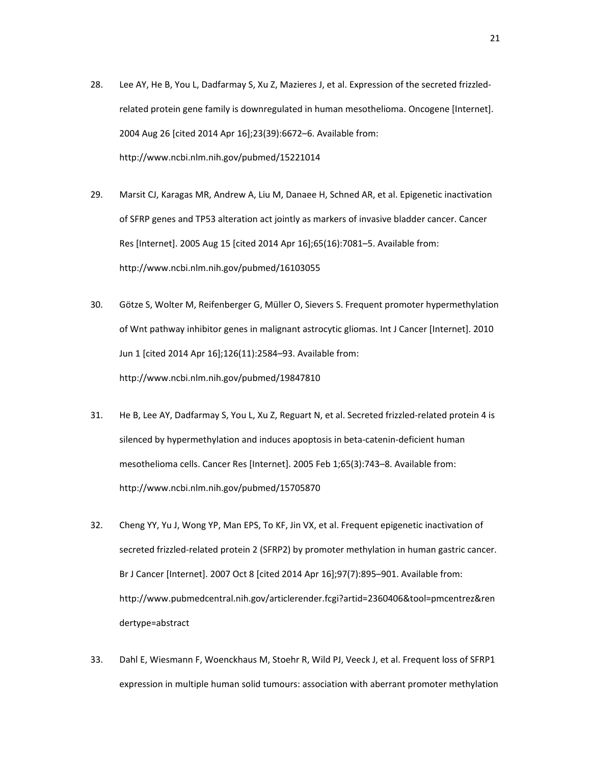- 28. Lee AY, He B, You L, Dadfarmay S, Xu Z, Mazieres J, et al. Expression of the secreted frizzledrelated protein gene family is downregulated in human mesothelioma. Oncogene [Internet]. 2004 Aug 26 [cited 2014 Apr 16];23(39):6672–6. Available from: http://www.ncbi.nlm.nih.gov/pubmed/15221014
- 29. Marsit CJ, Karagas MR, Andrew A, Liu M, Danaee H, Schned AR, et al. Epigenetic inactivation of SFRP genes and TP53 alteration act jointly as markers of invasive bladder cancer. Cancer Res [Internet]. 2005 Aug 15 [cited 2014 Apr 16];65(16):7081–5. Available from: http://www.ncbi.nlm.nih.gov/pubmed/16103055
- 30. Götze S, Wolter M, Reifenberger G, Müller O, Sievers S. Frequent promoter hypermethylation of Wnt pathway inhibitor genes in malignant astrocytic gliomas. Int J Cancer [Internet]. 2010 Jun 1 [cited 2014 Apr 16];126(11):2584–93. Available from: http://www.ncbi.nlm.nih.gov/pubmed/19847810
- 31. He B, Lee AY, Dadfarmay S, You L, Xu Z, Reguart N, et al. Secreted frizzled-related protein 4 is silenced by hypermethylation and induces apoptosis in beta-catenin-deficient human mesothelioma cells. Cancer Res [Internet]. 2005 Feb 1;65(3):743–8. Available from: http://www.ncbi.nlm.nih.gov/pubmed/15705870
- 32. Cheng YY, Yu J, Wong YP, Man EPS, To KF, Jin VX, et al. Frequent epigenetic inactivation of secreted frizzled-related protein 2 (SFRP2) by promoter methylation in human gastric cancer. Br J Cancer [Internet]. 2007 Oct 8 [cited 2014 Apr 16];97(7):895–901. Available from: http://www.pubmedcentral.nih.gov/articlerender.fcgi?artid=2360406&tool=pmcentrez&ren dertype=abstract
- 33. Dahl E, Wiesmann F, Woenckhaus M, Stoehr R, Wild PJ, Veeck J, et al. Frequent loss of SFRP1 expression in multiple human solid tumours: association with aberrant promoter methylation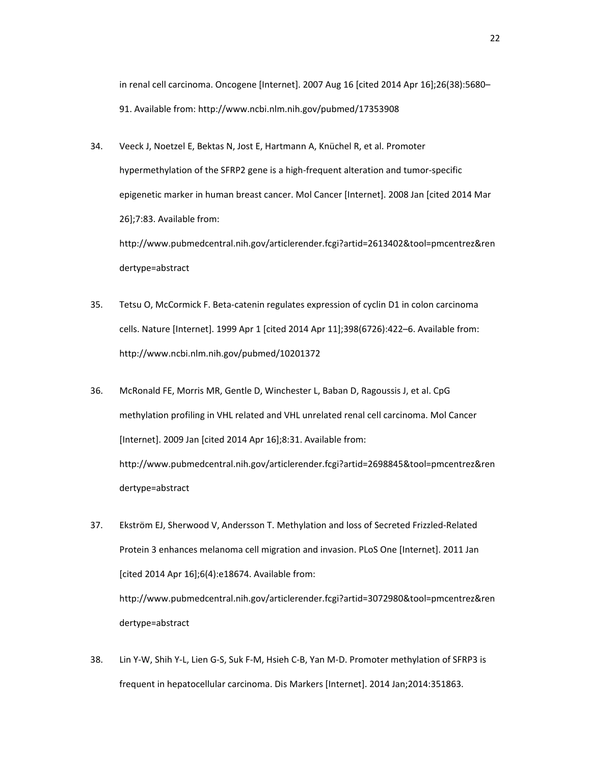in renal cell carcinoma. Oncogene [Internet]. 2007 Aug 16 [cited 2014 Apr 16];26(38):5680– 91. Available from: http://www.ncbi.nlm.nih.gov/pubmed/17353908

- 34. Veeck J, Noetzel E, Bektas N, Jost E, Hartmann A, Knüchel R, et al. Promoter hypermethylation of the SFRP2 gene is a high-frequent alteration and tumor-specific epigenetic marker in human breast cancer. Mol Cancer [Internet]. 2008 Jan [cited 2014 Mar 26];7:83. Available from: http://www.pubmedcentral.nih.gov/articlerender.fcgi?artid=2613402&tool=pmcentrez&ren dertype=abstract
- 35. Tetsu O, McCormick F. Beta-catenin regulates expression of cyclin D1 in colon carcinoma cells. Nature [Internet]. 1999 Apr 1 [cited 2014 Apr 11];398(6726):422–6. Available from: http://www.ncbi.nlm.nih.gov/pubmed/10201372
- 36. McRonald FE, Morris MR, Gentle D, Winchester L, Baban D, Ragoussis J, et al. CpG methylation profiling in VHL related and VHL unrelated renal cell carcinoma. Mol Cancer [Internet]. 2009 Jan [cited 2014 Apr 16];8:31. Available from: http://www.pubmedcentral.nih.gov/articlerender.fcgi?artid=2698845&tool=pmcentrez&ren dertype=abstract
- 37. Ekström EJ, Sherwood V, Andersson T. Methylation and loss of Secreted Frizzled-Related Protein 3 enhances melanoma cell migration and invasion. PLoS One [Internet]. 2011 Jan [cited 2014 Apr 16];6(4):e18674. Available from: http://www.pubmedcentral.nih.gov/articlerender.fcgi?artid=3072980&tool=pmcentrez&ren dertype=abstract
- 38. Lin Y-W, Shih Y-L, Lien G-S, Suk F-M, Hsieh C-B, Yan M-D. Promoter methylation of SFRP3 is frequent in hepatocellular carcinoma. Dis Markers [Internet]. 2014 Jan;2014:351863.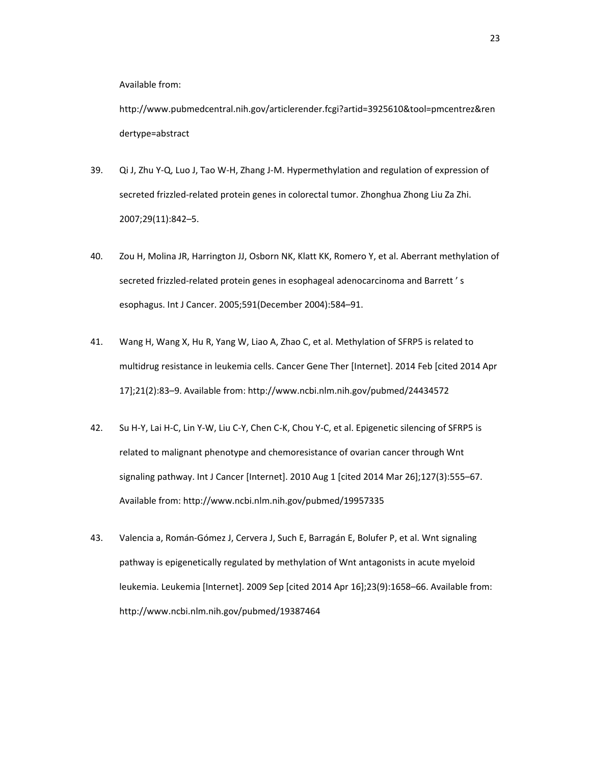Available from:

http://www.pubmedcentral.nih.gov/articlerender.fcgi?artid=3925610&tool=pmcentrez&ren dertype=abstract

- 39. Qi J, Zhu Y-Q, Luo J, Tao W-H, Zhang J-M. Hypermethylation and regulation of expression of secreted frizzled-related protein genes in colorectal tumor. Zhonghua Zhong Liu Za Zhi. 2007;29(11):842–5.
- 40. Zou H, Molina JR, Harrington JJ, Osborn NK, Klatt KK, Romero Y, et al. Aberrant methylation of secreted frizzled-related protein genes in esophageal adenocarcinoma and Barrett ' s esophagus. Int J Cancer. 2005;591(December 2004):584–91.
- 41. Wang H, Wang X, Hu R, Yang W, Liao A, Zhao C, et al. Methylation of SFRP5 is related to multidrug resistance in leukemia cells. Cancer Gene Ther [Internet]. 2014 Feb [cited 2014 Apr 17];21(2):83–9. Available from: http://www.ncbi.nlm.nih.gov/pubmed/24434572
- 42. Su H-Y, Lai H-C, Lin Y-W, Liu C-Y, Chen C-K, Chou Y-C, et al. Epigenetic silencing of SFRP5 is related to malignant phenotype and chemoresistance of ovarian cancer through Wnt signaling pathway. Int J Cancer [Internet]. 2010 Aug 1 [cited 2014 Mar 26];127(3):555–67. Available from: http://www.ncbi.nlm.nih.gov/pubmed/19957335
- 43. Valencia a, Román-Gómez J, Cervera J, Such E, Barragán E, Bolufer P, et al. Wnt signaling pathway is epigenetically regulated by methylation of Wnt antagonists in acute myeloid leukemia. Leukemia [Internet]. 2009 Sep [cited 2014 Apr 16];23(9):1658–66. Available from: http://www.ncbi.nlm.nih.gov/pubmed/19387464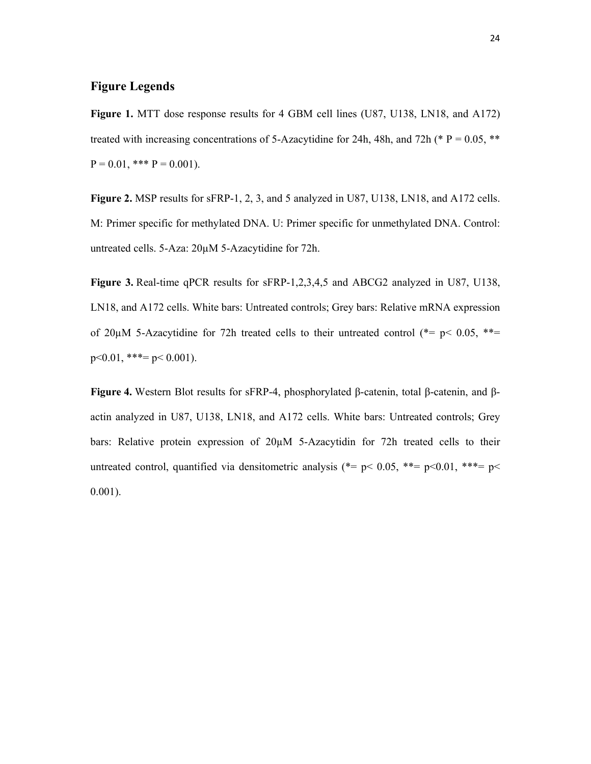## **Figure Legends**

**Figure 1.** MTT dose response results for 4 GBM cell lines (U87, U138, LN18, and A172) treated with increasing concentrations of 5-Azacytidine for 24h, 48h, and 72h (\* P =  $0.05$ , \*\*  $P = 0.01$ , \*\*\*  $P = 0.001$ ).

**Figure 2.** MSP results for sFRP-1, 2, 3, and 5 analyzed in U87, U138, LN18, and A172 cells. M: Primer specific for methylated DNA. U: Primer specific for unmethylated DNA. Control: untreated cells. 5-Aza: 20µM 5-Azacytidine for 72h.

**Figure 3.** Real-time qPCR results for sFRP-1,2,3,4,5 and ABCG2 analyzed in U87, U138, LN18, and A172 cells. White bars: Untreated controls; Grey bars: Relative mRNA expression of 20 $\mu$ M 5-Azacytidine for 72h treated cells to their untreated control (\*= p< 0.05, \*\*=  $p<0.01$ , \*\*\*=  $p<0.001$ ).

**Figure 4.** Western Blot results for sFRP-4, phosphorylated β-catenin, total β-catenin, and βactin analyzed in U87, U138, LN18, and A172 cells. White bars: Untreated controls; Grey bars: Relative protein expression of 20µM 5-Azacytidin for 72h treated cells to their untreated control, quantified via densitometric analysis (\*=  $p$  < 0.05, \*\*=  $p$  < 0.01, \*\*\*=  $p$  < 0.001).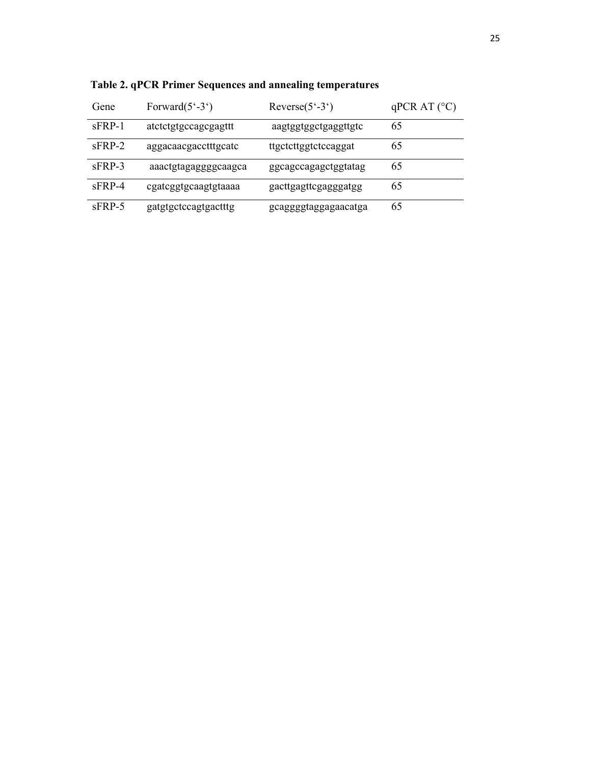| Gene     | Forward $(5^{\circ}$ -3 $^{\circ})$ | Reverse $(5^{\circ}$ -3 $^{\circ})$ | qPCR AT (°C) |
|----------|-------------------------------------|-------------------------------------|--------------|
| $sFRP-1$ | atctctgtgccagcgagttt                | aagtggtggctgaggttgtc                | 65           |
| $sFRP-2$ | aggacaacgacctttgcatc                | ttgctcttggtctccaggat                | 65           |
| $sFRP-3$ | aaactgtagaggggcaagca                | ggcagccagagctggtatag                | 65           |
| $sFRP-4$ | cgatcggtgcaagtgtaaaa                | gacttgagttcgagggatgg                | 65           |
| $sFRP-5$ | gatgtgctccagtgactttg                | gcaggggtaggagaacatga                | 65           |

**Table 2. qPCR Primer Sequences and annealing temperatures**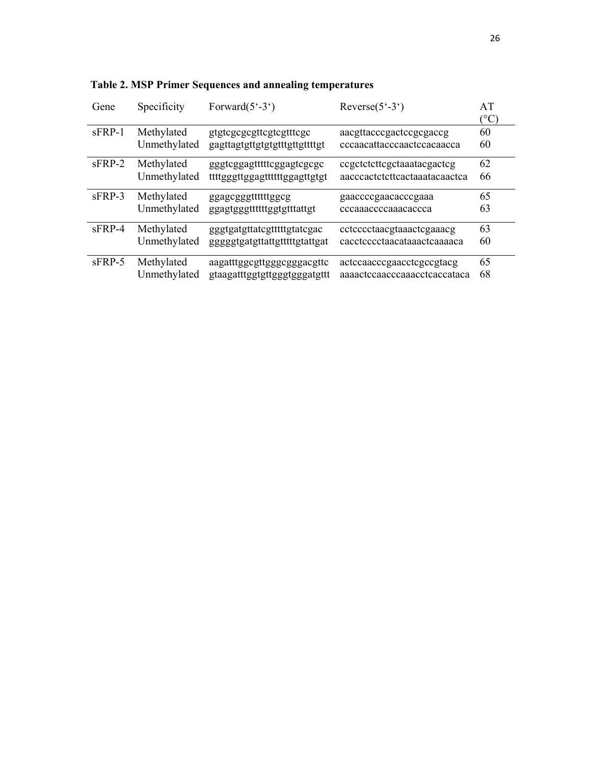| Gene     | Specificity  | Forward $(5^{\circ}$ -3 $^{\circ})$ | Reverse $(5^{\circ}$ -3 $^{\circ})$ | AT<br>$({}^\circ\mathrm{C})$ |
|----------|--------------|-------------------------------------|-------------------------------------|------------------------------|
| $sFRP-1$ | Methylated   | gtgtcgcgcgttcgtcgtttcgc             | aacgttacccgactccgcgaccg             | 60                           |
|          | Unmethylated | gagttagtgttgtgtttgttgttttgt         | cccaacattacccaactccacaacca          | 60                           |
| $sFRP-2$ | Methylated   | gggtcggagtttttcggagtcgcgc           | ccgctctcttcgctaaatacgactcg          | 62                           |
|          | Unmethylated | ttttgggttggagttttttggagttgtgt       | aacccactctcttcactaaatacaactca       | 66                           |
| $sFRP-3$ | Methylated   | ggagcgggttttttggcg                  | gaaccccgaacacccgaaa                 | 65                           |
|          | Unmethylated | ggagtgggttttttggtgtttattgt          | cccaaaccccaaacaccca                 | 63                           |
| sFRP-4   | Methylated   | gggtgatgttatcgtttttgtatcgac         | cetecectaacgtaaactegaaacg           | 63                           |
|          | Unmethylated | gggggtgatgttattgtttttgtattgat       | caceteccetaacataaactcaaaaca         | 60                           |
| $sFRP-5$ | Methylated   | aagatttggcgttgggcggggacgttc         | actccaacccgaacctcgccgtacg           | 65                           |
|          | Unmethylated | gtaagatttggtgttgggtgggatgttt        | aaaactccaacccaaacctcaccataca        | 68                           |

**Table 2. MSP Primer Sequences and annealing temperatures**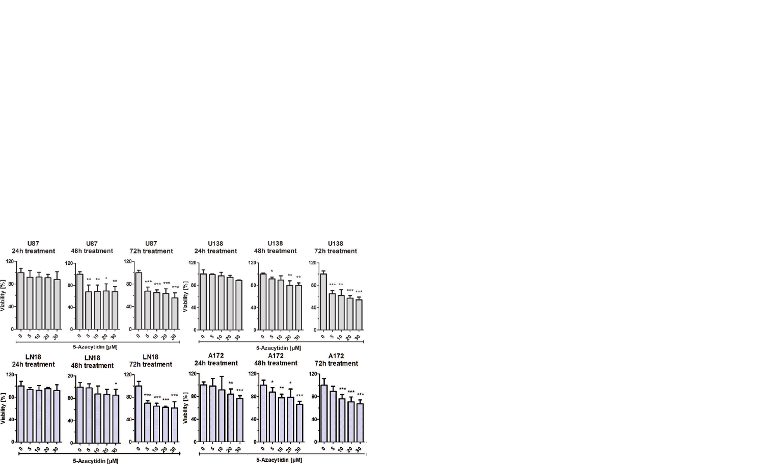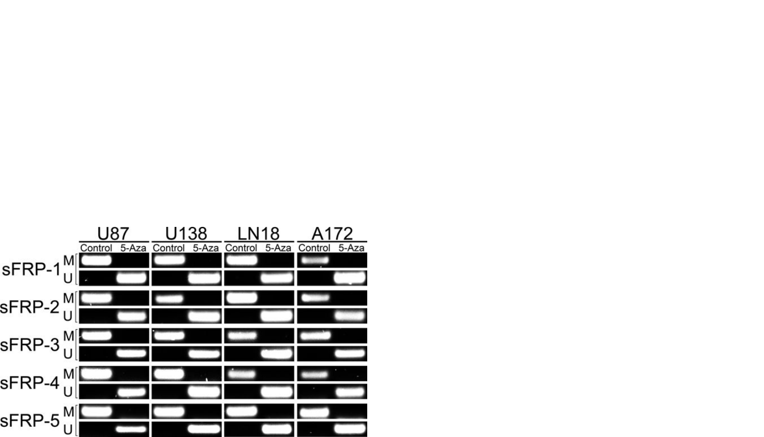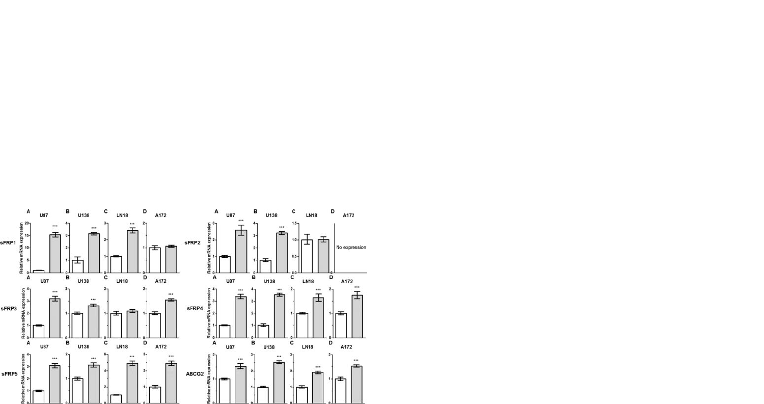